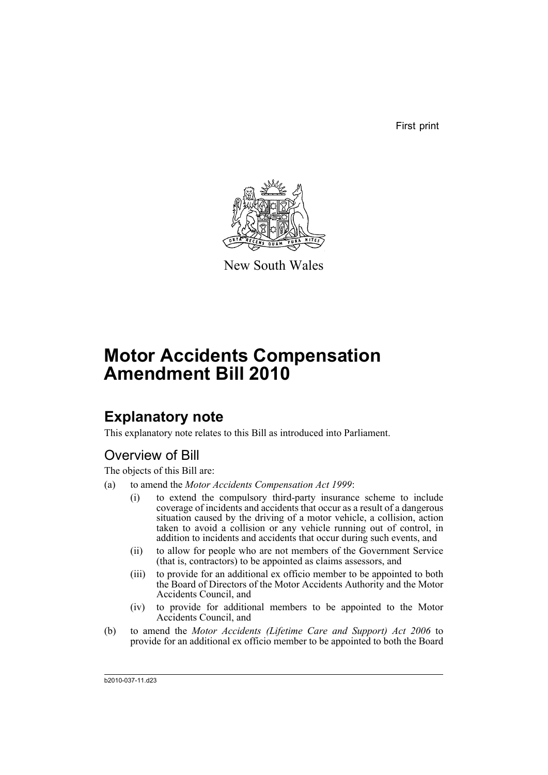First print



New South Wales

# **Motor Accidents Compensation Amendment Bill 2010**

## **Explanatory note**

This explanatory note relates to this Bill as introduced into Parliament.

## Overview of Bill

The objects of this Bill are:

- (a) to amend the *Motor Accidents Compensation Act 1999*:
	- (i) to extend the compulsory third-party insurance scheme to include coverage of incidents and accidents that occur as a result of a dangerous situation caused by the driving of a motor vehicle, a collision, action taken to avoid a collision or any vehicle running out of control, in addition to incidents and accidents that occur during such events, and
	- (ii) to allow for people who are not members of the Government Service (that is, contractors) to be appointed as claims assessors, and
	- (iii) to provide for an additional ex officio member to be appointed to both the Board of Directors of the Motor Accidents Authority and the Motor Accidents Council, and
	- (iv) to provide for additional members to be appointed to the Motor Accidents Council, and
- (b) to amend the *Motor Accidents (Lifetime Care and Support) Act 2006* to provide for an additional ex officio member to be appointed to both the Board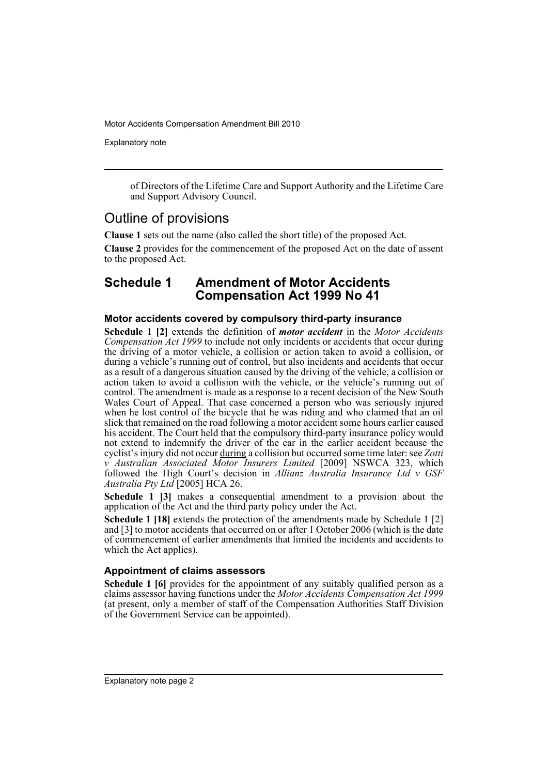Explanatory note

of Directors of the Lifetime Care and Support Authority and the Lifetime Care and Support Advisory Council.

## Outline of provisions

**Clause 1** sets out the name (also called the short title) of the proposed Act.

**Clause 2** provides for the commencement of the proposed Act on the date of assent to the proposed Act.

## **Schedule 1 Amendment of Motor Accidents Compensation Act 1999 No 41**

### **Motor accidents covered by compulsory third-party insurance**

**Schedule 1 [2]** extends the definition of *motor accident* in the *Motor Accidents Compensation Act 1999* to include not only incidents or accidents that occur during the driving of a motor vehicle, a collision or action taken to avoid a collision, or during a vehicle's running out of control, but also incidents and accidents that occur as a result of a dangerous situation caused by the driving of the vehicle, a collision or action taken to avoid a collision with the vehicle, or the vehicle's running out of control. The amendment is made as a response to a recent decision of the New South Wales Court of Appeal. That case concerned a person who was seriously injured when he lost control of the bicycle that he was riding and who claimed that an oil slick that remained on the road following a motor accident some hours earlier caused his accident. The Court held that the compulsory third-party insurance policy would not extend to indemnify the driver of the car in the earlier accident because the cyclist's injury did not occur during a collision but occurred some time later: see *Zotti v Australian Associated Motor Insurers Limited* [2009] NSWCA 323, which followed the High Court's decision in *Allianz Australia Insurance Ltd v GSF Australia Pty Ltd* [2005] HCA 26.

**Schedule 1 [3]** makes a consequential amendment to a provision about the application of the Act and the third party policy under the Act.

**Schedule 1 [18]** extends the protection of the amendments made by Schedule 1 [2] and [3] to motor accidents that occurred on or after 1 October 2006 (which is the date of commencement of earlier amendments that limited the incidents and accidents to which the Act applies).

### **Appointment of claims assessors**

**Schedule 1 [6]** provides for the appointment of any suitably qualified person as a claims assessor having functions under the *Motor Accidents Compensation Act 1999* (at present, only a member of staff of the Compensation Authorities Staff Division of the Government Service can be appointed).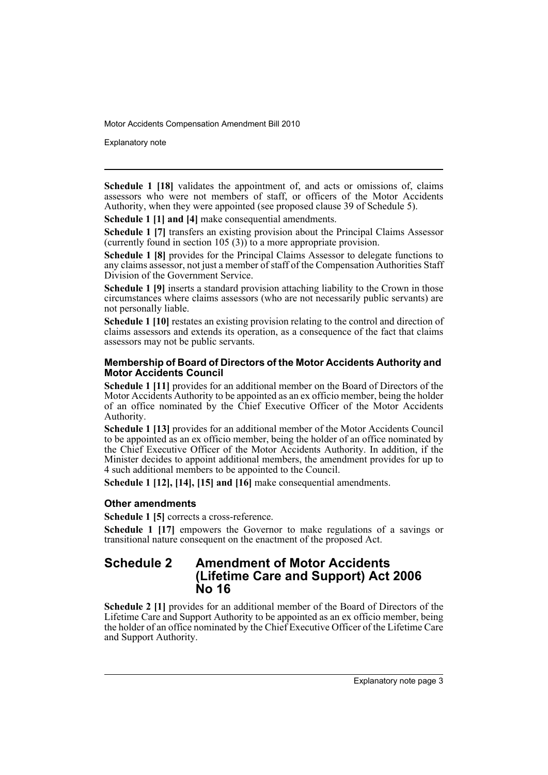Explanatory note

**Schedule 1 [18]** validates the appointment of, and acts or omissions of, claims assessors who were not members of staff, or officers of the Motor Accidents Authority, when they were appointed (see proposed clause 39 of Schedule 5).

**Schedule 1 [1] and [4] make consequential amendments.** 

**Schedule 1 [7]** transfers an existing provision about the Principal Claims Assessor (currently found in section 105 (3)) to a more appropriate provision.

**Schedule 1 [8]** provides for the Principal Claims Assessor to delegate functions to any claims assessor, not just a member of staff of the Compensation Authorities Staff Division of the Government Service.

**Schedule 1 [9]** inserts a standard provision attaching liability to the Crown in those circumstances where claims assessors (who are not necessarily public servants) are not personally liable.

**Schedule 1 [10]** restates an existing provision relating to the control and direction of claims assessors and extends its operation, as a consequence of the fact that claims assessors may not be public servants.

### **Membership of Board of Directors of the Motor Accidents Authority and Motor Accidents Council**

**Schedule 1 [11]** provides for an additional member on the Board of Directors of the Motor Accidents Authority to be appointed as an ex officio member, being the holder of an office nominated by the Chief Executive Officer of the Motor Accidents Authority.

**Schedule 1 [13]** provides for an additional member of the Motor Accidents Council to be appointed as an ex officio member, being the holder of an office nominated by the Chief Executive Officer of the Motor Accidents Authority. In addition, if the Minister decides to appoint additional members, the amendment provides for up to 4 such additional members to be appointed to the Council.

**Schedule 1 [12], [14], [15] and [16]** make consequential amendments.

#### **Other amendments**

**Schedule 1 [5]** corrects a cross-reference.

**Schedule 1 [17]** empowers the Governor to make regulations of a savings or transitional nature consequent on the enactment of the proposed Act.

### **Schedule 2 Amendment of Motor Accidents (Lifetime Care and Support) Act 2006 No 16**

**Schedule 2 [1]** provides for an additional member of the Board of Directors of the Lifetime Care and Support Authority to be appointed as an ex officio member, being the holder of an office nominated by the Chief Executive Officer of the Lifetime Care and Support Authority.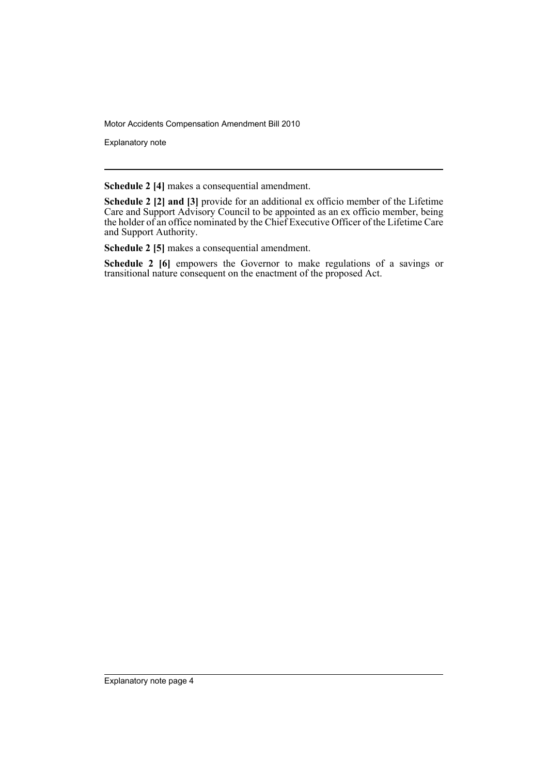Explanatory note

**Schedule 2 [4]** makes a consequential amendment.

**Schedule 2 [2] and [3]** provide for an additional ex officio member of the Lifetime Care and Support Advisory Council to be appointed as an ex officio member, being the holder of an office nominated by the Chief Executive Officer of the Lifetime Care and Support Authority.

**Schedule 2 [5]** makes a consequential amendment.

**Schedule 2 [6]** empowers the Governor to make regulations of a savings or transitional nature consequent on the enactment of the proposed Act.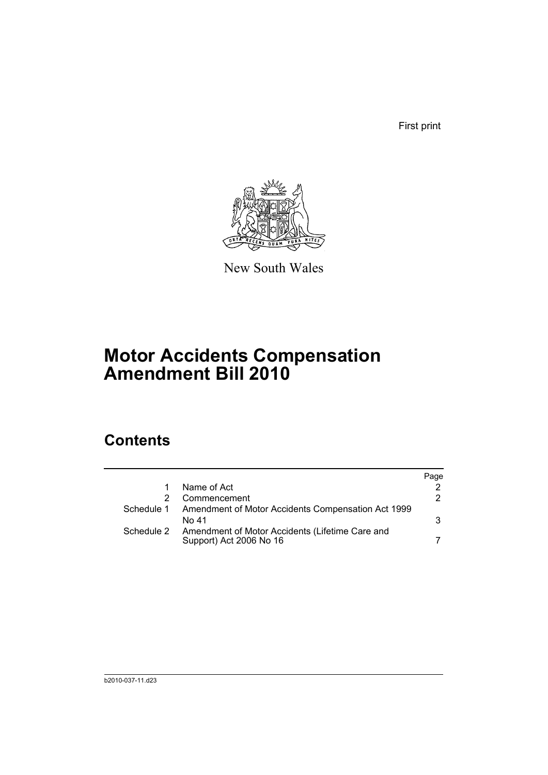First print



New South Wales

# **Motor Accidents Compensation Amendment Bill 2010**

## **Contents**

|            |                                                                            | Page |
|------------|----------------------------------------------------------------------------|------|
|            | Name of Act                                                                |      |
|            | Commencement                                                               | 2    |
| Schedule 1 | Amendment of Motor Accidents Compensation Act 1999                         |      |
|            | No 41                                                                      | 3    |
| Schedule 2 | Amendment of Motor Accidents (Lifetime Care and<br>Support) Act 2006 No 16 |      |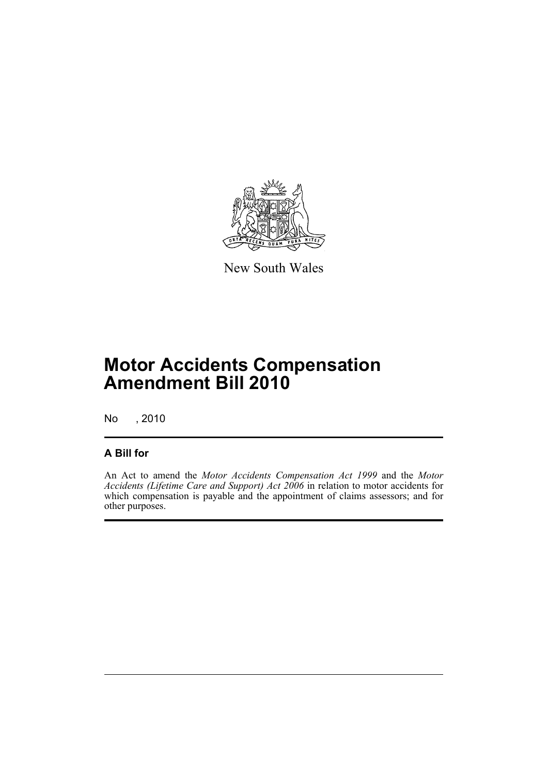

New South Wales

# **Motor Accidents Compensation Amendment Bill 2010**

No , 2010

## **A Bill for**

An Act to amend the *Motor Accidents Compensation Act 1999* and the *Motor Accidents (Lifetime Care and Support) Act 2006* in relation to motor accidents for which compensation is payable and the appointment of claims assessors; and for other purposes.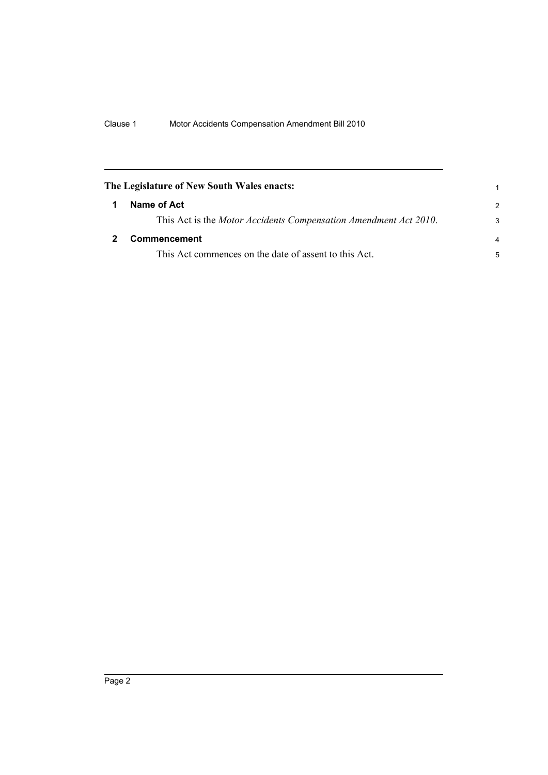<span id="page-7-1"></span><span id="page-7-0"></span>

| The Legislature of New South Wales enacts: |                                                                  | 1             |
|--------------------------------------------|------------------------------------------------------------------|---------------|
| 1                                          | Name of Act                                                      | $\mathcal{P}$ |
|                                            | This Act is the Motor Accidents Compensation Amendment Act 2010. | 3             |
|                                            | <b>Commencement</b>                                              | 4             |
|                                            | This Act commences on the date of assent to this Act.            | 5             |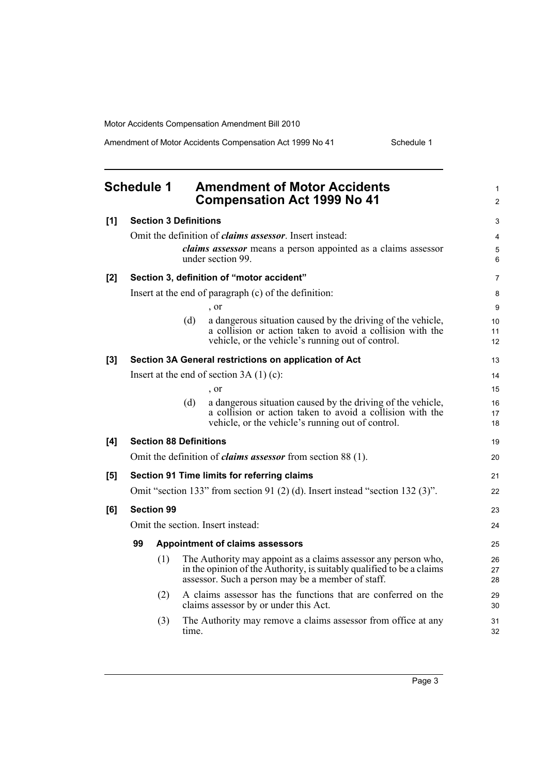Amendment of Motor Accidents Compensation Act 1999 No 41 Schedule 1

<span id="page-8-0"></span>

|     | <b>Schedule 1</b>                                                             |       | <b>Amendment of Motor Accidents</b><br><b>Compensation Act 1999 No 41</b>                                                                                                                    | 1<br>$\overline{2}$         |
|-----|-------------------------------------------------------------------------------|-------|----------------------------------------------------------------------------------------------------------------------------------------------------------------------------------------------|-----------------------------|
| [1] | <b>Section 3 Definitions</b>                                                  |       |                                                                                                                                                                                              | 3                           |
|     |                                                                               |       | Omit the definition of <i>claims assessor</i> . Insert instead:                                                                                                                              | $\overline{4}$              |
|     |                                                                               |       | claims assessor means a person appointed as a claims assessor<br>under section 99.                                                                                                           | 5<br>6                      |
| [2] |                                                                               |       | Section 3, definition of "motor accident"                                                                                                                                                    | $\overline{7}$              |
|     |                                                                               |       | Insert at the end of paragraph (c) of the definition:                                                                                                                                        | 8                           |
|     |                                                                               |       | $\cdot$ or                                                                                                                                                                                   | 9                           |
|     |                                                                               | (d)   | a dangerous situation caused by the driving of the vehicle,<br>a collision or action taken to avoid a collision with the<br>vehicle, or the vehicle's running out of control.                | 10 <sup>1</sup><br>11<br>12 |
| [3] |                                                                               |       | Section 3A General restrictions on application of Act                                                                                                                                        | 13                          |
|     |                                                                               |       | Insert at the end of section $3A(1)(c)$ :                                                                                                                                                    | 14                          |
|     |                                                                               |       | , or                                                                                                                                                                                         | 15                          |
|     |                                                                               | (d)   | a dangerous situation caused by the driving of the vehicle,<br>a collision or action taken to avoid a collision with the<br>vehicle, or the vehicle's running out of control.                | 16<br>17<br>18              |
| [4] | <b>Section 88 Definitions</b>                                                 |       |                                                                                                                                                                                              | 19                          |
|     | Omit the definition of <i>claims assessor</i> from section 88 (1).            |       |                                                                                                                                                                                              | 20                          |
| [5] | Section 91 Time limits for referring claims                                   |       |                                                                                                                                                                                              | 21                          |
|     | Omit "section 133" from section 91 (2) (d). Insert instead "section 132 (3)". |       |                                                                                                                                                                                              | 22                          |
| [6] | <b>Section 99</b>                                                             |       |                                                                                                                                                                                              | 23                          |
|     | Omit the section. Insert instead:                                             |       |                                                                                                                                                                                              | 24                          |
|     | 99<br><b>Appointment of claims assessors</b>                                  |       |                                                                                                                                                                                              | 25                          |
|     | (1)                                                                           |       | The Authority may appoint as a claims assessor any person who,<br>in the opinion of the Authority, is suitably qualified to be a claims<br>assessor. Such a person may be a member of staff. | 26<br>27<br>28              |
|     | (2)                                                                           |       | A claims assessor has the functions that are conferred on the<br>claims assessor by or under this Act.                                                                                       | 29<br>30                    |
|     | (3)                                                                           | time. | The Authority may remove a claims assessor from office at any                                                                                                                                | 31<br>32                    |
|     |                                                                               |       |                                                                                                                                                                                              |                             |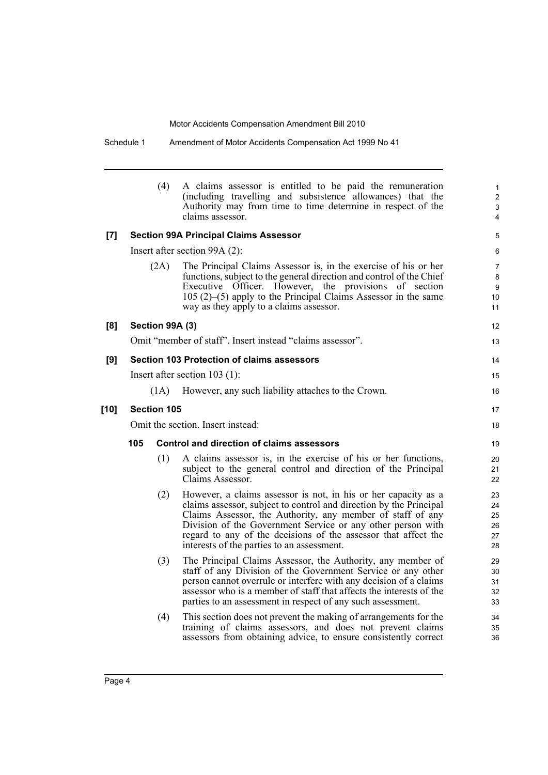12 13

14 15 16

17 18

|        |                                                                                                                                                    | (4)  | A claims assessor is entitled to be paid the remuneration<br>(including travelling and subsistence allowances) that the<br>Authority may from time to time determine in respect of the<br>claims assessor.                                                                                                                                                                        |  |
|--------|----------------------------------------------------------------------------------------------------------------------------------------------------|------|-----------------------------------------------------------------------------------------------------------------------------------------------------------------------------------------------------------------------------------------------------------------------------------------------------------------------------------------------------------------------------------|--|
| [7]    | <b>Section 99A Principal Claims Assessor</b>                                                                                                       |      |                                                                                                                                                                                                                                                                                                                                                                                   |  |
|        | Insert after section 99A (2):                                                                                                                      |      |                                                                                                                                                                                                                                                                                                                                                                                   |  |
|        |                                                                                                                                                    | (2A) | The Principal Claims Assessor is, in the exercise of his or her<br>functions, subject to the general direction and control of the Chief<br>Officer. However, the provisions of section<br>Executive<br>$105(2)$ –(5) apply to the Principal Claims Assessor in the same<br>way as they apply to a claims assessor.                                                                |  |
| [8]    | Section 99A (3)                                                                                                                                    |      |                                                                                                                                                                                                                                                                                                                                                                                   |  |
|        |                                                                                                                                                    |      | Omit "member of staff". Insert instead "claims assessor".                                                                                                                                                                                                                                                                                                                         |  |
| [9]    | <b>Section 103 Protection of claims assessors</b><br>Insert after section $103$ (1):<br>(1A)<br>However, any such liability attaches to the Crown. |      |                                                                                                                                                                                                                                                                                                                                                                                   |  |
|        |                                                                                                                                                    |      |                                                                                                                                                                                                                                                                                                                                                                                   |  |
|        |                                                                                                                                                    |      |                                                                                                                                                                                                                                                                                                                                                                                   |  |
| $[10]$ | Section 105                                                                                                                                        |      |                                                                                                                                                                                                                                                                                                                                                                                   |  |
|        | Omit the section. Insert instead:                                                                                                                  |      |                                                                                                                                                                                                                                                                                                                                                                                   |  |
|        | Control and direction of claims assessors<br>105                                                                                                   |      |                                                                                                                                                                                                                                                                                                                                                                                   |  |
|        |                                                                                                                                                    | (1)  | A claims assessor is, in the exercise of his or her functions,<br>subject to the general control and direction of the Principal<br>Claims Assessor.                                                                                                                                                                                                                               |  |
|        |                                                                                                                                                    | (2)  | However, a claims assessor is not, in his or her capacity as a<br>claims assessor, subject to control and direction by the Principal<br>Claims Assessor, the Authority, any member of staff of any<br>Division of the Government Service or any other person with<br>regard to any of the decisions of the assessor that affect the<br>interests of the parties to an assessment. |  |
|        |                                                                                                                                                    | (3)  | The Principal Claims Assessor, the Authority, any member of<br>staff of any Division of the Government Service or any other<br>person cannot overrule or interfere with any decision of a claims<br>assessor who is a member of staff that affects the interests of the<br>parties to an assessment in respect of any such assessment.                                            |  |
|        |                                                                                                                                                    | (4)  | This section does not prevent the making of arrangements for the<br>training of claims assessors, and does not prevent claims<br>assessors from obtaining advice, to ensure consistently correct                                                                                                                                                                                  |  |

Schedule 1 Amendment of Motor Accidents Compensation Act 1999 No 41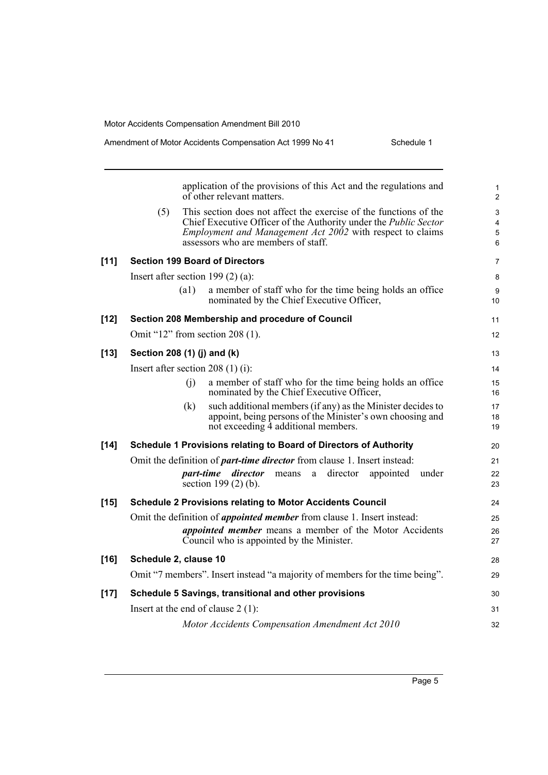|        | application of the provisions of this Act and the regulations and<br>of other relevant matters.                                                                                                                                                         | $\mathbf{1}$<br>$\overline{2}$ |
|--------|---------------------------------------------------------------------------------------------------------------------------------------------------------------------------------------------------------------------------------------------------------|--------------------------------|
|        | This section does not affect the exercise of the functions of the<br>(5)<br>Chief Executive Officer of the Authority under the Public Sector<br><i>Employment and Management Act 2002</i> with respect to claims<br>assessors who are members of staff. | 3<br>4<br>5<br>6               |
| $[11]$ | <b>Section 199 Board of Directors</b>                                                                                                                                                                                                                   | $\overline{7}$                 |
|        | Insert after section 199 $(2)$ $(a)$ :                                                                                                                                                                                                                  | 8                              |
|        | (a1)<br>a member of staff who for the time being holds an office<br>nominated by the Chief Executive Officer,                                                                                                                                           | 9<br>10 <sup>°</sup>           |
| $[12]$ | Section 208 Membership and procedure of Council                                                                                                                                                                                                         | 11                             |
|        | Omit "12" from section 208 $(1)$ .                                                                                                                                                                                                                      | $12 \overline{ }$              |
| $[13]$ | Section 208 (1) (j) and (k)                                                                                                                                                                                                                             | 13                             |
|        | Insert after section 208 $(1)$ (i):                                                                                                                                                                                                                     | 14                             |
|        | (i)<br>a member of staff who for the time being holds an office<br>nominated by the Chief Executive Officer,                                                                                                                                            | 15<br>16                       |
|        | (k)<br>such additional members (if any) as the Minister decides to<br>appoint, being persons of the Minister's own choosing and<br>not exceeding 4 additional members.                                                                                  | 17<br>18<br>19                 |
| $[14]$ | Schedule 1 Provisions relating to Board of Directors of Authority                                                                                                                                                                                       | 20                             |
|        | Omit the definition of <i>part-time director</i> from clause 1. Insert instead:                                                                                                                                                                         | 21                             |
|        | director<br>part-time director<br>appointed<br>means<br>a<br>under<br>section $199(2)$ (b).                                                                                                                                                             | 22<br>23                       |
| $[15]$ | <b>Schedule 2 Provisions relating to Motor Accidents Council</b>                                                                                                                                                                                        | 24                             |
|        | Omit the definition of <i>appointed member</i> from clause 1. Insert instead:                                                                                                                                                                           | 25                             |
|        | <i>appointed member</i> means a member of the Motor Accidents<br>Council who is appointed by the Minister.                                                                                                                                              | 26<br>27                       |
| $[16]$ | Schedule 2, clause 10                                                                                                                                                                                                                                   | 28                             |
|        | Omit "7 members". Insert instead "a majority of members for the time being".                                                                                                                                                                            | 29                             |
| $[17]$ | Schedule 5 Savings, transitional and other provisions                                                                                                                                                                                                   | 30                             |
|        | Insert at the end of clause $2(1)$ :                                                                                                                                                                                                                    | 31                             |
|        | Motor Accidents Compensation Amendment Act 2010                                                                                                                                                                                                         | 32                             |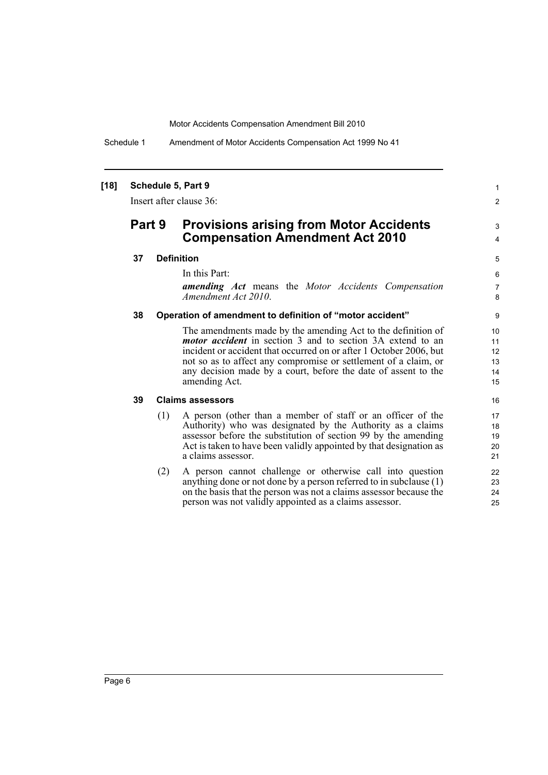Schedule 1 Amendment of Motor Accidents Compensation Act 1999 No 41

### **[18] Schedule 5, Part 9**

Insert after clause 36:

### **Part 9 Provisions arising from Motor Accidents Compensation Amendment Act 2010**

### **37 Definition**

In this Part:

*amending Act* means the *Motor Accidents Compensation Amendment Act 2010*.

1 2

3 4

#### **38 Operation of amendment to definition of "motor accident"**

The amendments made by the amending Act to the definition of *motor accident* in section 3 and to section 3A extend to an incident or accident that occurred on or after 1 October 2006, but not so as to affect any compromise or settlement of a claim, or any decision made by a court, before the date of assent to the amending Act.

#### **39 Claims assessors**

- (1) A person (other than a member of staff or an officer of the Authority) who was designated by the Authority as a claims assessor before the substitution of section 99 by the amending Act is taken to have been validly appointed by that designation as a claims assessor.
- (2) A person cannot challenge or otherwise call into question anything done or not done by a person referred to in subclause  $(1)$ on the basis that the person was not a claims assessor because the person was not validly appointed as a claims assessor.

Page 6